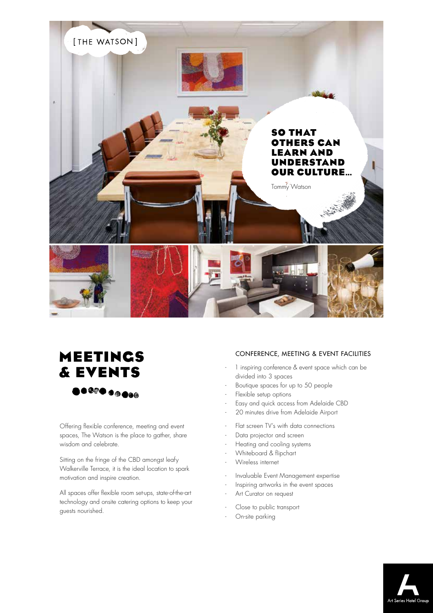

## **MEETINGS & EVENTS**

Offering flexible conference, meeting and event spaces, The Watson is the place to gather, share wisdom and celebrate.

Sitting on the fringe of the CBD amongst leafy Walkerville Terrace, it is the ideal location to spark motivation and inspire creation.

All spaces offer flexible room set-ups, state-of-the-art technology and onsite catering options to keep your guests nourished.

## CONFERENCE, MEETING & EVENT FACILITIES

- 1 inspiring conference & event space which can be divided into 3 spaces
- Boutique spaces for up to 50 people
- Flexible setup options
- Easy and quick access from Adelaide CBD
- 20 minutes drive from Adelaide Airport
- Flat screen TV's with data connections
- Data projector and screen
- Heating and cooling systems
- Whiteboard & flipchart
- Wireless internet
- Invaluable Event Management expertise
- Inspiring artworks in the event spaces
- Art Curator on request
- Close to public transport
- On-site parking

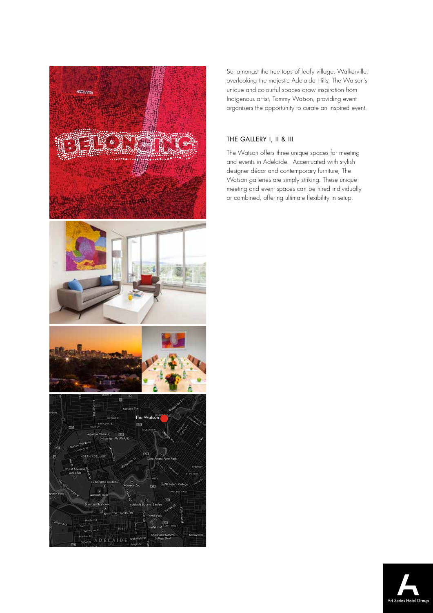

Set amongst the tree tops of leafy village, Walkerville; overlooking the majestic Adelaide Hills, The Watson's unique and colourful spaces draw inspiration from Indigenous artist, Tommy Watson, providing event organisers the opportunity to curate an inspired event.

## THE GALLERY I, II & III

The Watson offers three unique spaces for meeting and events in Adelaide. Accentuated with stylish designer décor and contemporary furniture, The Watson galleries are simply striking. These unique meeting and event spaces can be hired individually or combined, offering ultimate flexibility in setup.